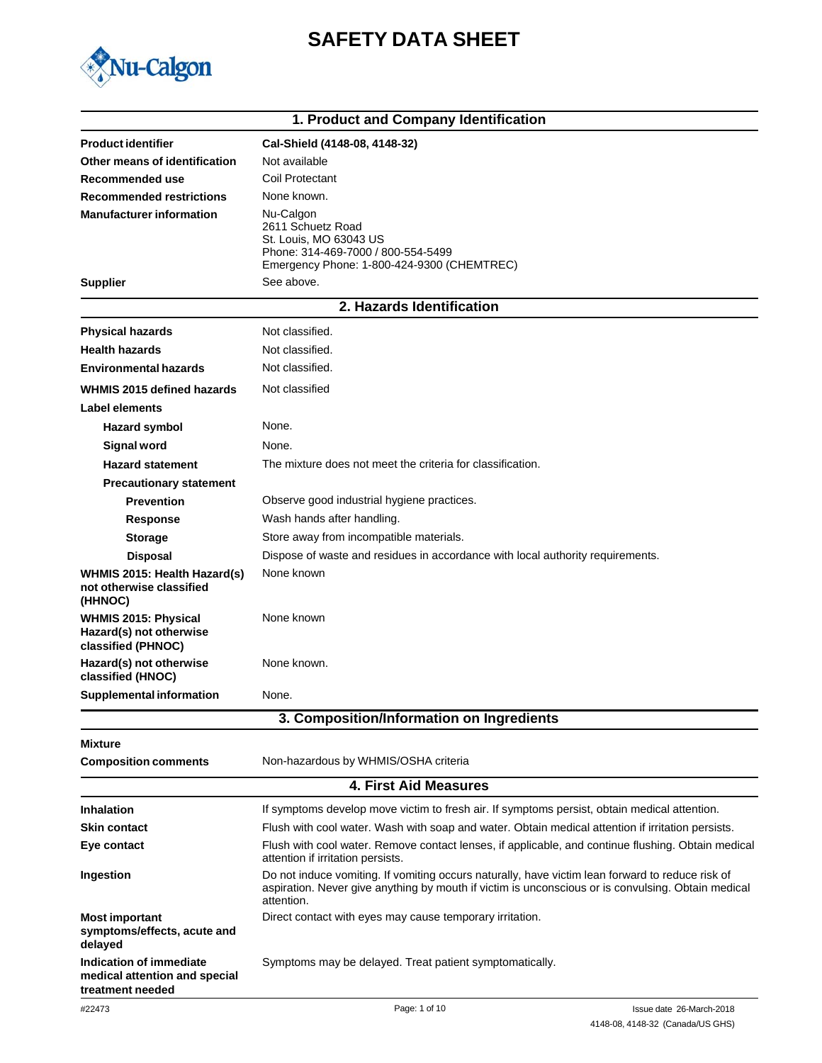# **SAFETY DATA SHEET**



|                                                                              | 1. Product and Company Identification                                                                                                                                                                                |                          |  |
|------------------------------------------------------------------------------|----------------------------------------------------------------------------------------------------------------------------------------------------------------------------------------------------------------------|--------------------------|--|
| <b>Product identifier</b>                                                    | Cal-Shield (4148-08, 4148-32)                                                                                                                                                                                        |                          |  |
| Other means of identification                                                | Not available                                                                                                                                                                                                        |                          |  |
| Recommended use                                                              | Coil Protectant                                                                                                                                                                                                      |                          |  |
| <b>Recommended restrictions</b>                                              | None known.                                                                                                                                                                                                          |                          |  |
| <b>Manufacturer information</b>                                              | Nu-Calgon                                                                                                                                                                                                            |                          |  |
|                                                                              | 2611 Schuetz Road<br>St. Louis, MO 63043 US                                                                                                                                                                          |                          |  |
|                                                                              | Phone: 314-469-7000 / 800-554-5499                                                                                                                                                                                   |                          |  |
|                                                                              | Emergency Phone: 1-800-424-9300 (CHEMTREC)<br>See above.                                                                                                                                                             |                          |  |
| <b>Supplier</b>                                                              |                                                                                                                                                                                                                      |                          |  |
|                                                                              | 2. Hazards Identification                                                                                                                                                                                            |                          |  |
| <b>Physical hazards</b>                                                      | Not classified.                                                                                                                                                                                                      |                          |  |
| <b>Health hazards</b>                                                        | Not classified.                                                                                                                                                                                                      |                          |  |
| Environmental hazards                                                        | Not classified.                                                                                                                                                                                                      |                          |  |
| WHMIS 2015 defined hazards                                                   | Not classified                                                                                                                                                                                                       |                          |  |
| Label elements                                                               |                                                                                                                                                                                                                      |                          |  |
| <b>Hazard symbol</b>                                                         | None.                                                                                                                                                                                                                |                          |  |
| <b>Signal word</b>                                                           | None.                                                                                                                                                                                                                |                          |  |
| <b>Hazard statement</b>                                                      | The mixture does not meet the criteria for classification.                                                                                                                                                           |                          |  |
| <b>Precautionary statement</b>                                               |                                                                                                                                                                                                                      |                          |  |
| <b>Prevention</b>                                                            | Observe good industrial hygiene practices.                                                                                                                                                                           |                          |  |
| <b>Response</b>                                                              | Wash hands after handling.                                                                                                                                                                                           |                          |  |
| <b>Storage</b>                                                               | Store away from incompatible materials.                                                                                                                                                                              |                          |  |
| <b>Disposal</b>                                                              | Dispose of waste and residues in accordance with local authority requirements.                                                                                                                                       |                          |  |
| WHMIS 2015: Health Hazard(s)<br>not otherwise classified<br>(HHNOC)          | None known                                                                                                                                                                                                           |                          |  |
| <b>WHMIS 2015: Physical</b><br>Hazard(s) not otherwise<br>classified (PHNOC) | None known                                                                                                                                                                                                           |                          |  |
| Hazard(s) not otherwise<br>classified (HNOC)                                 | None known.                                                                                                                                                                                                          |                          |  |
| <b>Supplemental information</b>                                              | None.                                                                                                                                                                                                                |                          |  |
|                                                                              | 3. Composition/Information on Ingredients                                                                                                                                                                            |                          |  |
| <b>Mixture</b>                                                               |                                                                                                                                                                                                                      |                          |  |
| <b>Composition comments</b>                                                  | Non-hazardous by WHMIS/OSHA criteria                                                                                                                                                                                 |                          |  |
|                                                                              | <b>4. First Aid Measures</b>                                                                                                                                                                                         |                          |  |
| <b>Inhalation</b>                                                            | If symptoms develop move victim to fresh air. If symptoms persist, obtain medical attention.                                                                                                                         |                          |  |
| Skin contact                                                                 | Flush with cool water. Wash with soap and water. Obtain medical attention if irritation persists.                                                                                                                    |                          |  |
| Eye contact                                                                  | Flush with cool water. Remove contact lenses, if applicable, and continue flushing. Obtain medical<br>attention if irritation persists.                                                                              |                          |  |
| Ingestion                                                                    | Do not induce vomiting. If vomiting occurs naturally, have victim lean forward to reduce risk of<br>aspiration. Never give anything by mouth if victim is unconscious or is convulsing. Obtain medical<br>attention. |                          |  |
| <b>Most important</b><br>symptoms/effects, acute and<br>delayed              | Direct contact with eyes may cause temporary irritation.                                                                                                                                                             |                          |  |
| Indication of immediate<br>medical attention and special<br>treatment needed | Symptoms may be delayed. Treat patient symptomatically.                                                                                                                                                              |                          |  |
| #22473                                                                       | Page: 1 of 10                                                                                                                                                                                                        | Issue date 26-March-2018 |  |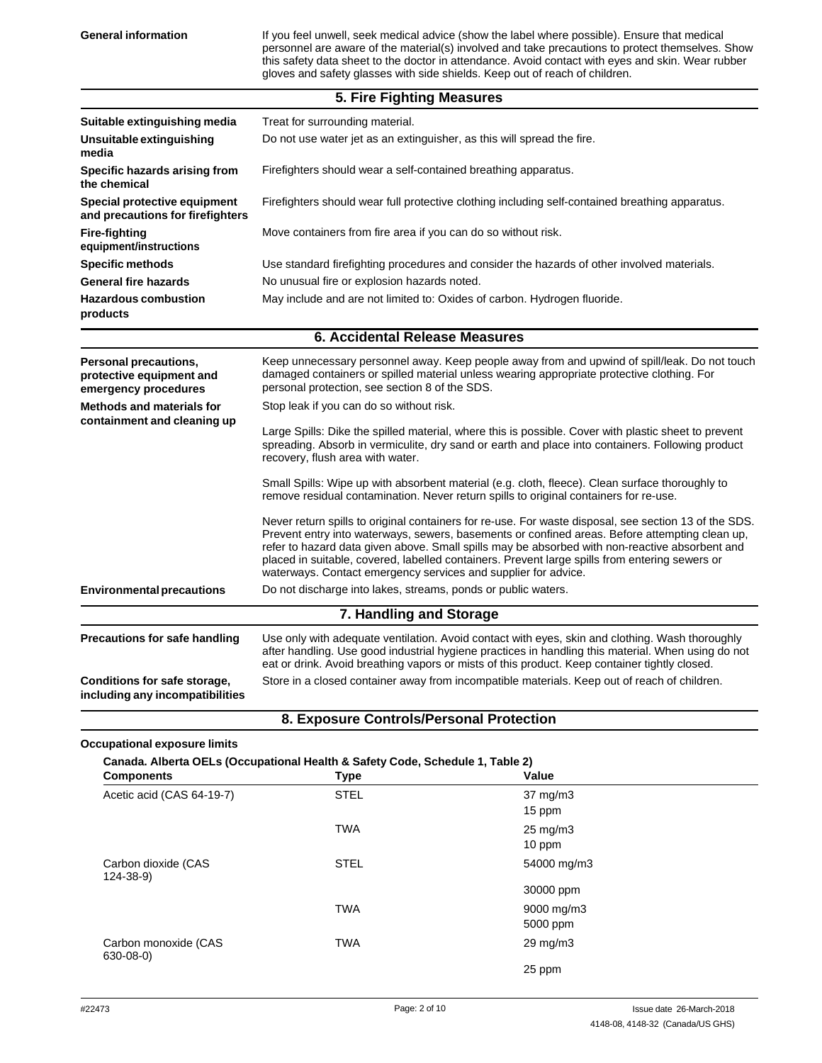General information **If you feel unwell, seek medical advice (show the label where possible). Ensure that medical** personnel are aware of the material(s) involved and take precautions to protect themselves. Show this safety data sheet to the doctor in attendance. Avoid contact with eyes and skin. Wear rubber gloves and safety glasses with side shields. Keep out of reach of children.

## **5. Fire Fighting Measures**

| Suitable extinguishing media                                              | Treat for surrounding material.                                                                                                                                                                                                                                                                                                                                                                                                                                               |
|---------------------------------------------------------------------------|-------------------------------------------------------------------------------------------------------------------------------------------------------------------------------------------------------------------------------------------------------------------------------------------------------------------------------------------------------------------------------------------------------------------------------------------------------------------------------|
| Unsuitable extinguishing<br>media                                         | Do not use water jet as an extinguisher, as this will spread the fire.                                                                                                                                                                                                                                                                                                                                                                                                        |
| Specific hazards arising from<br>the chemical                             | Firefighters should wear a self-contained breathing apparatus.                                                                                                                                                                                                                                                                                                                                                                                                                |
| Special protective equipment<br>and precautions for firefighters          | Firefighters should wear full protective clothing including self-contained breathing apparatus.                                                                                                                                                                                                                                                                                                                                                                               |
| <b>Fire-fighting</b><br>equipment/instructions                            | Move containers from fire area if you can do so without risk.                                                                                                                                                                                                                                                                                                                                                                                                                 |
| <b>Specific methods</b>                                                   | Use standard firefighting procedures and consider the hazards of other involved materials.                                                                                                                                                                                                                                                                                                                                                                                    |
| <b>General fire hazards</b>                                               | No unusual fire or explosion hazards noted.                                                                                                                                                                                                                                                                                                                                                                                                                                   |
| <b>Hazardous combustion</b><br>products                                   | May include and are not limited to: Oxides of carbon. Hydrogen fluoride.                                                                                                                                                                                                                                                                                                                                                                                                      |
|                                                                           | <b>6. Accidental Release Measures</b>                                                                                                                                                                                                                                                                                                                                                                                                                                         |
| Personal precautions,<br>protective equipment and<br>emergency procedures | Keep unnecessary personnel away. Keep people away from and upwind of spill/leak. Do not touch<br>damaged containers or spilled material unless wearing appropriate protective clothing. For<br>personal protection, see section 8 of the SDS.                                                                                                                                                                                                                                 |
| <b>Methods and materials for</b><br>containment and cleaning up           | Stop leak if you can do so without risk.                                                                                                                                                                                                                                                                                                                                                                                                                                      |
|                                                                           | Large Spills: Dike the spilled material, where this is possible. Cover with plastic sheet to prevent<br>spreading. Absorb in vermiculite, dry sand or earth and place into containers. Following product<br>recovery, flush area with water.                                                                                                                                                                                                                                  |
|                                                                           | Small Spills: Wipe up with absorbent material (e.g. cloth, fleece). Clean surface thoroughly to<br>remove residual contamination. Never return spills to original containers for re-use.                                                                                                                                                                                                                                                                                      |
|                                                                           | Never return spills to original containers for re-use. For waste disposal, see section 13 of the SDS.<br>Prevent entry into waterways, sewers, basements or confined areas. Before attempting clean up,<br>refer to hazard data given above. Small spills may be absorbed with non-reactive absorbent and<br>placed in suitable, covered, labelled containers. Prevent large spills from entering sewers or<br>waterways. Contact emergency services and supplier for advice. |
| <b>Environmental precautions</b>                                          | Do not discharge into lakes, streams, ponds or public waters.                                                                                                                                                                                                                                                                                                                                                                                                                 |
|                                                                           | 7. Handling and Storage                                                                                                                                                                                                                                                                                                                                                                                                                                                       |
| Precautions for safe handling                                             | Use only with adequate ventilation. Avoid contact with eyes, skin and clothing. Wash thoroughly<br>after handling. Use good industrial hygiene practices in handling this material. When using do not<br>eat or drink. Avoid breathing vapors or mists of this product. Keep container tightly closed.                                                                                                                                                                        |
| Conditions for safe storage,                                              | Store in a closed container away from incompatible materials. Keep out of reach of children.                                                                                                                                                                                                                                                                                                                                                                                  |

**Conditions for safe storage, including any incompatibilities**

**8. Exposure Controls/Personal Protection**

#### **Occupational exposure limits**

| <b>Components</b>                     | Type        | Value                         |  |
|---------------------------------------|-------------|-------------------------------|--|
| Acetic acid (CAS 64-19-7)             | <b>STEL</b> | $37 \text{ mg/m}$<br>15 ppm   |  |
|                                       | <b>TWA</b>  | $25 \text{ mg/m}$ 3<br>10 ppm |  |
| Carbon dioxide (CAS<br>$124 - 38 - 9$ | <b>STEL</b> | 54000 mg/m3                   |  |
|                                       |             | 30000 ppm                     |  |
|                                       | <b>TWA</b>  | 9000 mg/m3                    |  |
|                                       |             | 5000 ppm                      |  |
| Carbon monoxide (CAS<br>630-08-0)     | <b>TWA</b>  | $29 \text{ mg/m}$             |  |
|                                       |             | 25 ppm                        |  |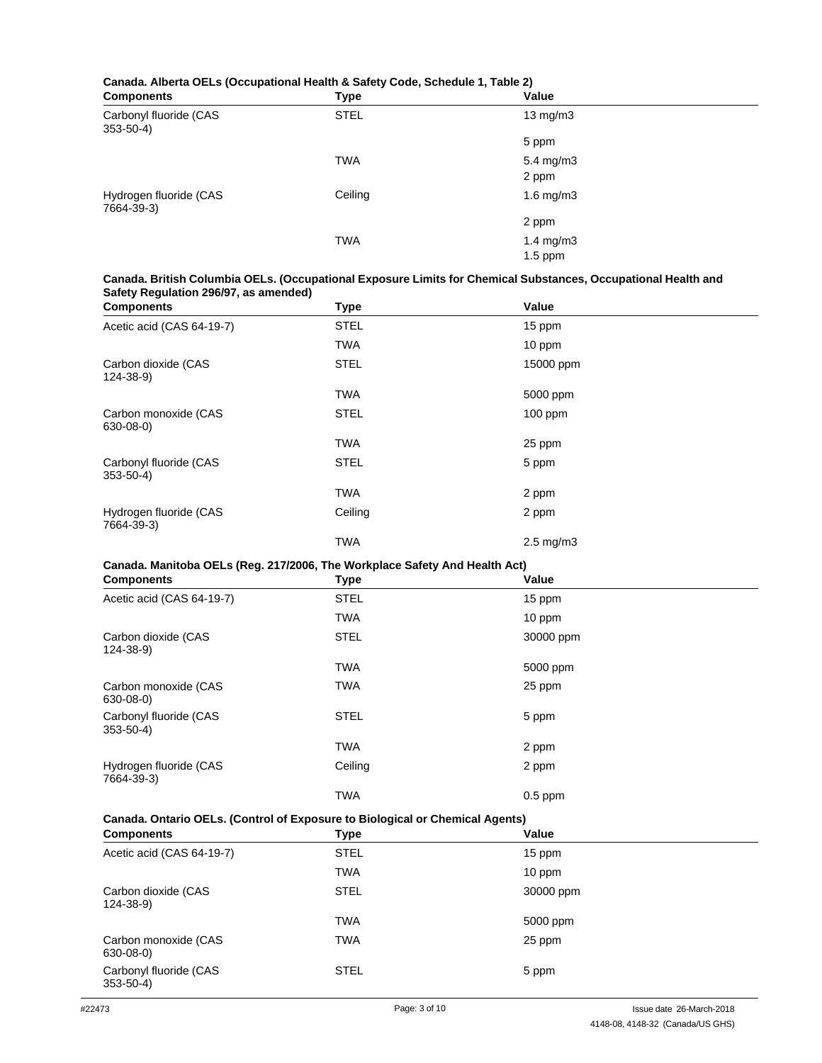# **Canada. Alberta OELs (Occupational Health & Safety Code, Schedule 1, Table 2)**

| <b>Components</b>                        | <b>Type</b> | Value                |  |
|------------------------------------------|-------------|----------------------|--|
| Carbonyl fluoride (CAS<br>$353 - 50 - 4$ | <b>STEL</b> | $13 \text{ mg/m}$    |  |
|                                          |             | 5 ppm                |  |
|                                          | <b>TWA</b>  | $5.4 \text{ mg/m}$ 3 |  |
|                                          |             | 2 ppm                |  |
| Hydrogen fluoride (CAS<br>7664-39-3)     | Ceiling     | $1.6$ mg/m $3$       |  |
|                                          |             | 2 ppm                |  |
|                                          | <b>TWA</b>  | 1.4 mg/m3            |  |
|                                          |             | $1.5$ ppm            |  |

### **Canada. British Columbia OELs. (Occupational Exposure Limits for Chemical Substances, Occupational Health and Safety Regulation 296/97, as amended)**

| <b>Components</b>                        | <b>Type</b> | Value                |  |
|------------------------------------------|-------------|----------------------|--|
| Acetic acid (CAS 64-19-7)                | <b>STEL</b> | 15 ppm               |  |
|                                          | <b>TWA</b>  | $10$ ppm             |  |
| Carbon dioxide (CAS<br>$124 - 38 - 9$    | STEL        | 15000 ppm            |  |
|                                          | <b>TWA</b>  | 5000 ppm             |  |
| Carbon monoxide (CAS<br>$630 - 08 - 0$   | <b>STEL</b> | $100$ ppm            |  |
|                                          | <b>TWA</b>  | 25 ppm               |  |
| Carbonyl fluoride (CAS<br>$353 - 50 - 4$ | <b>STEL</b> | 5 ppm                |  |
|                                          | <b>TWA</b>  | 2 ppm                |  |
| Hydrogen fluoride (CAS<br>7664-39-3)     | Ceiling     | 2 ppm                |  |
|                                          | <b>TWA</b>  | $2.5 \text{ mg/m}$ 3 |  |

### **Canada. Manitoba OELs (Reg. 217/2006, The Workplace Safety And Health Act)**

| <b>Components</b>                        | <b>Type</b> | Value     |  |
|------------------------------------------|-------------|-----------|--|
| Acetic acid (CAS 64-19-7)                | <b>STEL</b> | 15 ppm    |  |
|                                          | <b>TWA</b>  | 10 ppm    |  |
| Carbon dioxide (CAS<br>$124 - 38 - 9$    | <b>STEL</b> | 30000 ppm |  |
|                                          | <b>TWA</b>  | 5000 ppm  |  |
| Carbon monoxide (CAS<br>$630 - 08 - 0$   | <b>TWA</b>  | 25 ppm    |  |
| Carbonyl fluoride (CAS<br>$353 - 50 - 4$ | <b>STEL</b> | 5 ppm     |  |
|                                          | <b>TWA</b>  | 2 ppm     |  |
| Hydrogen fluoride (CAS<br>7664-39-3)     | Ceiling     | 2 ppm     |  |
|                                          | <b>TWA</b>  | $0.5$ ppm |  |

### **Canada. Ontario OELs. (Control of Exposure to Biological or Chemical Agents)**

| <b>Components</b>                        | Type        | Value     |  |
|------------------------------------------|-------------|-----------|--|
| Acetic acid (CAS 64-19-7)                | <b>STEL</b> | 15 ppm    |  |
|                                          | <b>TWA</b>  | 10 ppm    |  |
| Carbon dioxide (CAS<br>$124 - 38 - 9$    | <b>STEL</b> | 30000 ppm |  |
|                                          | <b>TWA</b>  | 5000 ppm  |  |
| Carbon monoxide (CAS<br>630-08-0)        | TWA         | 25 ppm    |  |
| Carbonyl fluoride (CAS<br>$353 - 50 - 4$ | <b>STEL</b> | 5 ppm     |  |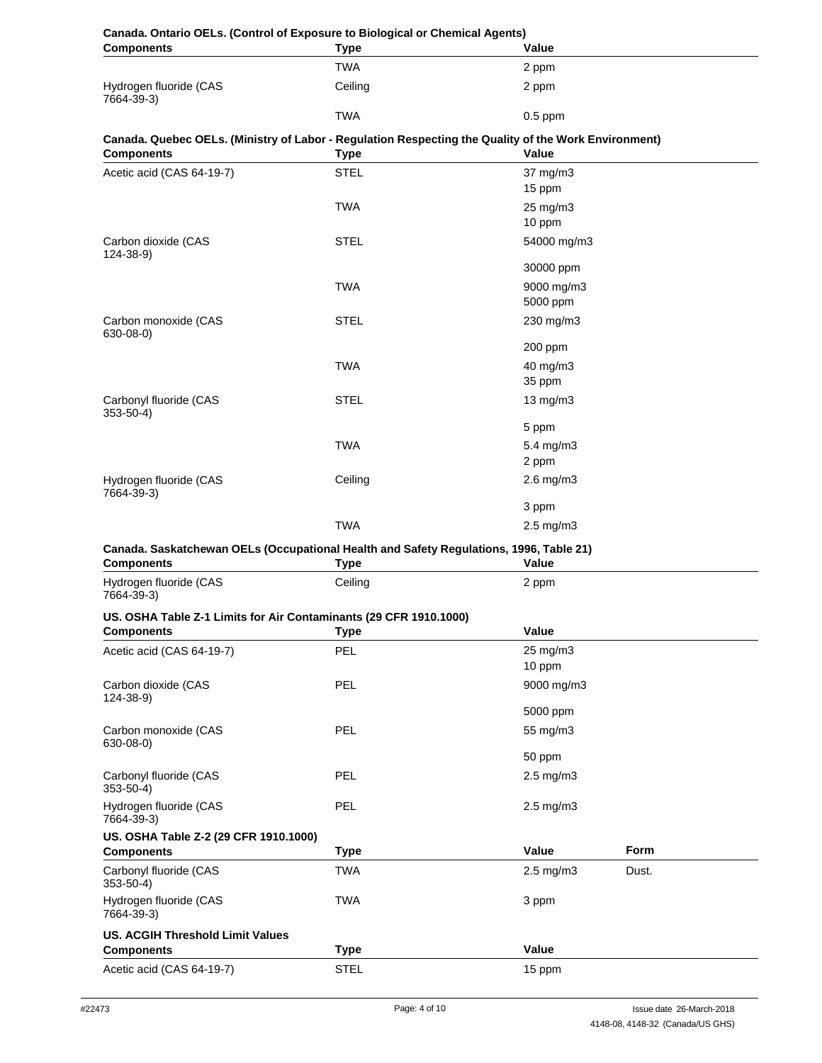| <b>Canada. Ontario OELs. (Control of Exposure to Biological or Chemical Agents)</b><br><b>Components</b> | <b>Type</b>        | Value                  |       |
|----------------------------------------------------------------------------------------------------------|--------------------|------------------------|-------|
|                                                                                                          | <b>TWA</b>         | 2 ppm                  |       |
| Hydrogen fluoride (CAS                                                                                   | Ceiling            | 2 ppm                  |       |
| 7664-39-3)                                                                                               | <b>TWA</b>         | $0.5$ ppm              |       |
| Canada. Quebec OELs. (Ministry of Labor - Regulation Respecting the Quality of the Work Environment)     |                    |                        |       |
| <b>Components</b>                                                                                        | <b>Type</b>        | Value                  |       |
| Acetic acid (CAS 64-19-7)                                                                                | <b>STEL</b>        | 37 mg/m3               |       |
|                                                                                                          |                    | 15 ppm                 |       |
|                                                                                                          | <b>TWA</b>         | 25 mg/m3<br>10 ppm     |       |
| Carbon dioxide (CAS                                                                                      | <b>STEL</b>        | 54000 mg/m3            |       |
| $124 - 38 - 9$                                                                                           |                    | 30000 ppm              |       |
|                                                                                                          | <b>TWA</b>         | 9000 mg/m3<br>5000 ppm |       |
| Carbon monoxide (CAS                                                                                     | <b>STEL</b>        | 230 mg/m3              |       |
| 630-08-0)                                                                                                |                    | 200 ppm                |       |
|                                                                                                          | <b>TWA</b>         | 40 mg/m3               |       |
|                                                                                                          |                    | 35 ppm                 |       |
| Carbonyl fluoride (CAS<br>$353 - 50 - 4$                                                                 | <b>STEL</b>        | 13 mg/m3               |       |
|                                                                                                          |                    | 5 ppm                  |       |
|                                                                                                          | <b>TWA</b>         | 5.4 mg/m3<br>2 ppm     |       |
| Hydrogen fluoride (CAS                                                                                   | Ceiling            | $2.6$ mg/m $3$         |       |
| 7664-39-3)                                                                                               |                    | 3 ppm                  |       |
|                                                                                                          | <b>TWA</b>         | 2.5 mg/m3              |       |
| Canada. Saskatchewan OELs (Occupational Health and Safety Regulations, 1996, Table 21)                   |                    |                        |       |
| <b>Components</b>                                                                                        | Type               | Value                  |       |
| Hydrogen fluoride (CAS<br>7664-39-3)                                                                     | Ceiling            | 2 ppm                  |       |
| US. OSHA Table Z-1 Limits for Air Contaminants (29 CFR 1910.1000)                                        |                    |                        |       |
| <b>Components</b>                                                                                        | Type<br><b>PEL</b> | <b>Value</b>           |       |
| Acetic acid (CAS 64-19-7)                                                                                |                    | 25 mg/m3<br>10 ppm     |       |
| Carbon dioxide (CAS<br>124-38-9)                                                                         | PEL                | 9000 mg/m3             |       |
|                                                                                                          |                    | 5000 ppm               |       |
| Carbon monoxide (CAS                                                                                     | PEL                | 55 mg/m3               |       |
| $630 - 08 - 0$                                                                                           |                    | 50 ppm                 |       |
| Carbonyl fluoride (CAS<br>$353 - 50 - 4$                                                                 | <b>PEL</b>         | $2.5$ mg/m $3$         |       |
| Hydrogen fluoride (CAS<br>7664-39-3)                                                                     | PEL                | $2.5$ mg/m $3$         |       |
| US. OSHA Table Z-2 (29 CFR 1910.1000)<br><b>Components</b>                                               | <b>Type</b>        | Value                  | Form  |
| Carbonyl fluoride (CAS<br>$353 - 50 - 4$                                                                 | <b>TWA</b>         | 2.5 mg/m3              | Dust. |
| Hydrogen fluoride (CAS<br>7664-39-3)                                                                     | <b>TWA</b>         | 3 ppm                  |       |
| <b>US. ACGIH Threshold Limit Values</b>                                                                  |                    |                        |       |
| <b>Components</b>                                                                                        | <b>Type</b>        | Value                  |       |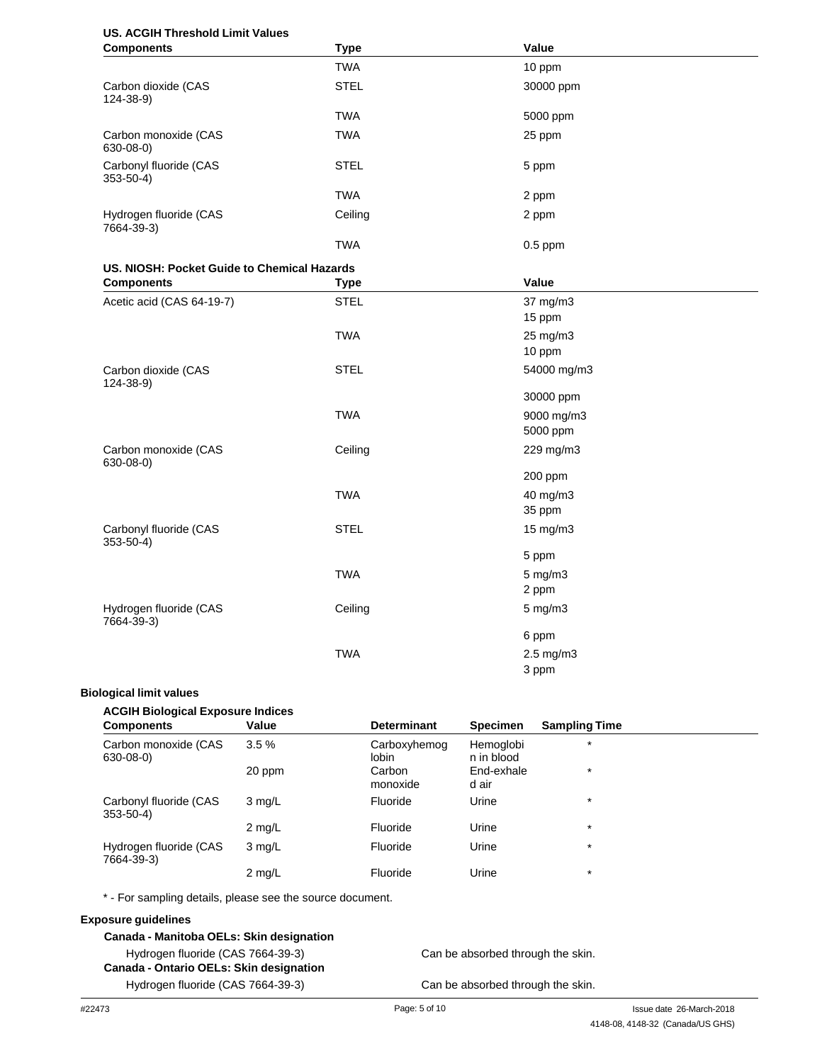# **US. ACGIH Threshold Limit Values**

| <b>Components</b>                           | <b>Type</b> | Value                  |  |
|---------------------------------------------|-------------|------------------------|--|
|                                             | <b>TWA</b>  | 10 ppm                 |  |
| Carbon dioxide (CAS<br>124-38-9)            | <b>STEL</b> | 30000 ppm              |  |
|                                             | <b>TWA</b>  | 5000 ppm               |  |
| Carbon monoxide (CAS<br>630-08-0)           | <b>TWA</b>  | 25 ppm                 |  |
| Carbonyl fluoride (CAS<br>$353 - 50 - 4$    | <b>STEL</b> | 5 ppm                  |  |
|                                             | <b>TWA</b>  | 2 ppm                  |  |
| Hydrogen fluoride (CAS<br>7664-39-3)        | Ceiling     | 2 ppm                  |  |
|                                             | <b>TWA</b>  | $0.5$ ppm              |  |
| US. NIOSH: Pocket Guide to Chemical Hazards |             |                        |  |
| <b>Components</b>                           | <b>Type</b> | Value                  |  |
| Acetic acid (CAS 64-19-7)                   | <b>STEL</b> | 37 mg/m3<br>15 ppm     |  |
|                                             | <b>TWA</b>  | 25 mg/m3<br>10 ppm     |  |
| Carbon dioxide (CAS<br>124-38-9)            | <b>STEL</b> | 54000 mg/m3            |  |
|                                             |             | 30000 ppm              |  |
|                                             | <b>TWA</b>  | 9000 mg/m3<br>5000 ppm |  |
| Carbon monoxide (CAS<br>$630 - 08 - 0$      | Ceiling     | 229 mg/m3              |  |
|                                             |             | 200 ppm                |  |
|                                             | <b>TWA</b>  | 40 mg/m3               |  |
|                                             |             | 35 ppm                 |  |
| Carbonyl fluoride (CAS<br>$353 - 50 - 4$    | <b>STEL</b> | 15 mg/m3               |  |
|                                             |             | 5 ppm                  |  |
|                                             | <b>TWA</b>  | $5 \text{ mg/m}$ 3     |  |
|                                             |             | 2 ppm                  |  |
| Hydrogen fluoride (CAS<br>7664-39-3)        | Ceiling     | $5$ mg/m $3$           |  |
|                                             |             | 6 ppm                  |  |
|                                             | <b>TWA</b>  | 2.5 mg/m3<br>3 ppm     |  |

#### **Biological limit values**

#### **ACGIH Biological Exposure Indices**

| <b>Components</b>                        | Value            | <b>Determinant</b>           | <b>Specimen</b>         | <b>Sampling Time</b> |
|------------------------------------------|------------------|------------------------------|-------------------------|----------------------|
| Carbon monoxide (CAS<br>630-08-0)        | 3.5%             | Carboxyhemog<br><b>lobin</b> | Hemoglobi<br>n in blood | $\star$              |
|                                          | 20 ppm           | Carbon<br>monoxide           | End-exhale<br>d air     | $\star$              |
| Carbonyl fluoride (CAS<br>$353 - 50 - 4$ | $3 \text{mq/L}$  | Fluoride                     | Urine                   | $\star$              |
|                                          | $2 \text{ mg/L}$ | Fluoride                     | Urine                   | $\star$              |
| Hydrogen fluoride (CAS<br>7664-39-3)     | $3 \text{mq/L}$  | Fluoride                     | Urine                   | $\star$              |
|                                          | $2 \text{ mg/L}$ | Fluoride                     | Urine                   | $\star$              |

\* - For sampling details, please see the source document.

#### **Exposure guidelines**

#### **Canada - Manitoba OELs: Skin designation**

Hydrogen fluoride (CAS 7664-39-3) **Canada - Ontario OELs: Skin designation** Hydrogen fluoride (CAS 7664-39-3)

Can be absorbed through the skin.

Can be absorbed through the skin.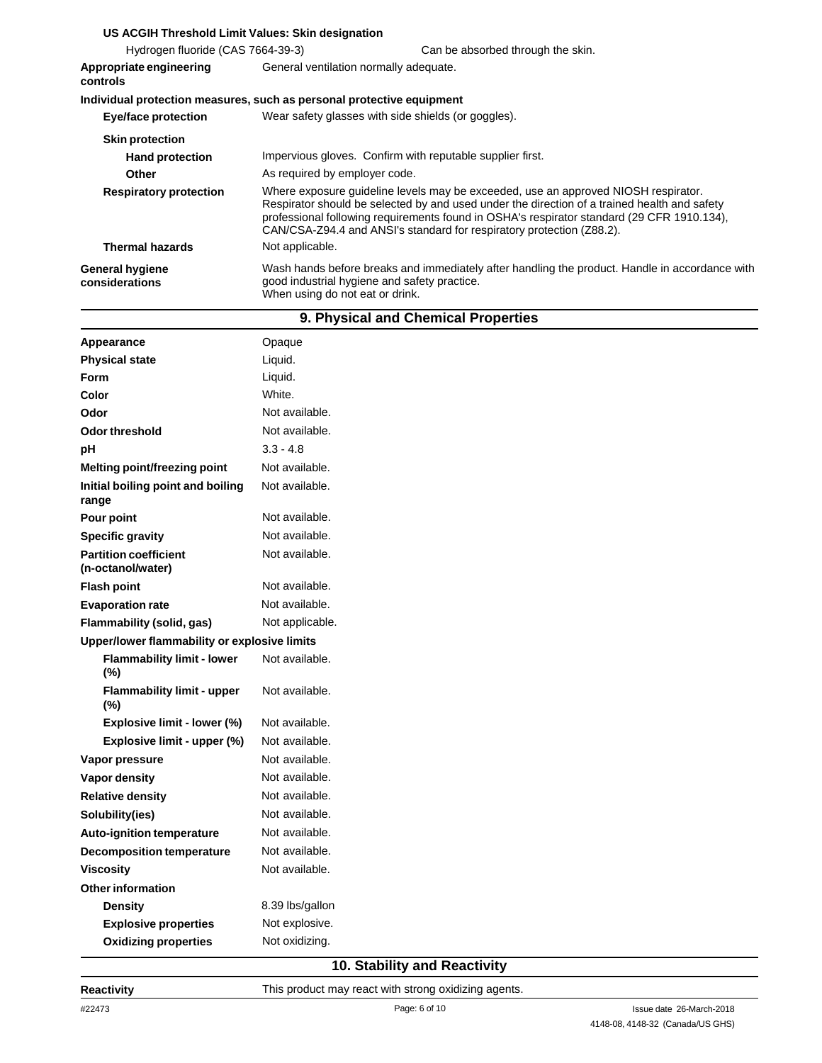| US ACGIH Threshold Limit Values: Skin designation                     |                                                                                 |                                                                                                                                                                                                                                                                                                                                                           |  |
|-----------------------------------------------------------------------|---------------------------------------------------------------------------------|-----------------------------------------------------------------------------------------------------------------------------------------------------------------------------------------------------------------------------------------------------------------------------------------------------------------------------------------------------------|--|
| Hydrogen fluoride (CAS 7664-39-3)                                     |                                                                                 | Can be absorbed through the skin.                                                                                                                                                                                                                                                                                                                         |  |
| Appropriate engineering<br>controls                                   | General ventilation normally adequate.                                          |                                                                                                                                                                                                                                                                                                                                                           |  |
| Individual protection measures, such as personal protective equipment |                                                                                 |                                                                                                                                                                                                                                                                                                                                                           |  |
| Eye/face protection                                                   | Wear safety glasses with side shields (or goggles).                             |                                                                                                                                                                                                                                                                                                                                                           |  |
| <b>Skin protection</b>                                                |                                                                                 |                                                                                                                                                                                                                                                                                                                                                           |  |
| <b>Hand protection</b>                                                | Impervious gloves. Confirm with reputable supplier first.                       |                                                                                                                                                                                                                                                                                                                                                           |  |
| Other                                                                 | As required by employer code.                                                   |                                                                                                                                                                                                                                                                                                                                                           |  |
| <b>Respiratory protection</b>                                         |                                                                                 | Where exposure guideline levels may be exceeded, use an approved NIOSH respirator.<br>Respirator should be selected by and used under the direction of a trained health and safety<br>professional following requirements found in OSHA's respirator standard (29 CFR 1910.134),<br>CAN/CSA-Z94.4 and ANSI's standard for respiratory protection (Z88.2). |  |
| <b>Thermal hazards</b>                                                | Not applicable.                                                                 |                                                                                                                                                                                                                                                                                                                                                           |  |
| <b>General hygiene</b><br>considerations                              | good industrial hygiene and safety practice.<br>When using do not eat or drink. | Wash hands before breaks and immediately after handling the product. Handle in accordance with                                                                                                                                                                                                                                                            |  |

| 9. Physical and Chemical Properties               |                 |  |
|---------------------------------------------------|-----------------|--|
| Appearance                                        | Opaque          |  |
| <b>Physical state</b>                             | Liquid.         |  |
| Form                                              | Liquid.         |  |
| Color                                             | White.          |  |
| Odor                                              | Not available.  |  |
| <b>Odor threshold</b>                             | Not available.  |  |
| pH                                                | $3.3 - 4.8$     |  |
| <b>Melting point/freezing point</b>               | Not available.  |  |
| Initial boiling point and boiling<br>range        | Not available.  |  |
| Pour point                                        | Not available.  |  |
| <b>Specific gravity</b>                           | Not available.  |  |
| <b>Partition coefficient</b><br>(n-octanol/water) | Not available.  |  |
| <b>Flash point</b>                                | Not available.  |  |
| <b>Evaporation rate</b>                           | Not available.  |  |
| Flammability (solid, gas)                         | Not applicable. |  |
| Upper/lower flammability or explosive limits      |                 |  |
| <b>Flammability limit - lower</b><br>(%)          | Not available.  |  |
| <b>Flammability limit - upper</b><br>(%)          | Not available.  |  |
| Explosive limit - lower (%)                       | Not available.  |  |
| Explosive limit - upper (%)                       | Not available.  |  |
| Vapor pressure                                    | Not available.  |  |
| Vapor density                                     | Not available.  |  |
| <b>Relative density</b>                           | Not available.  |  |
| Solubility(ies)                                   | Not available.  |  |
| <b>Auto-ignition temperature</b>                  | Not available.  |  |
| <b>Decomposition temperature</b>                  | Not available.  |  |
| <b>Viscosity</b>                                  | Not available.  |  |
| <b>Other information</b>                          |                 |  |
| <b>Density</b>                                    | 8.39 lbs/gallon |  |
| <b>Explosive properties</b>                       | Not explosive.  |  |
| <b>Oxidizing properties</b>                       | Not oxidizing.  |  |
|                                                   |                 |  |

# **10. Stability and Reactivity**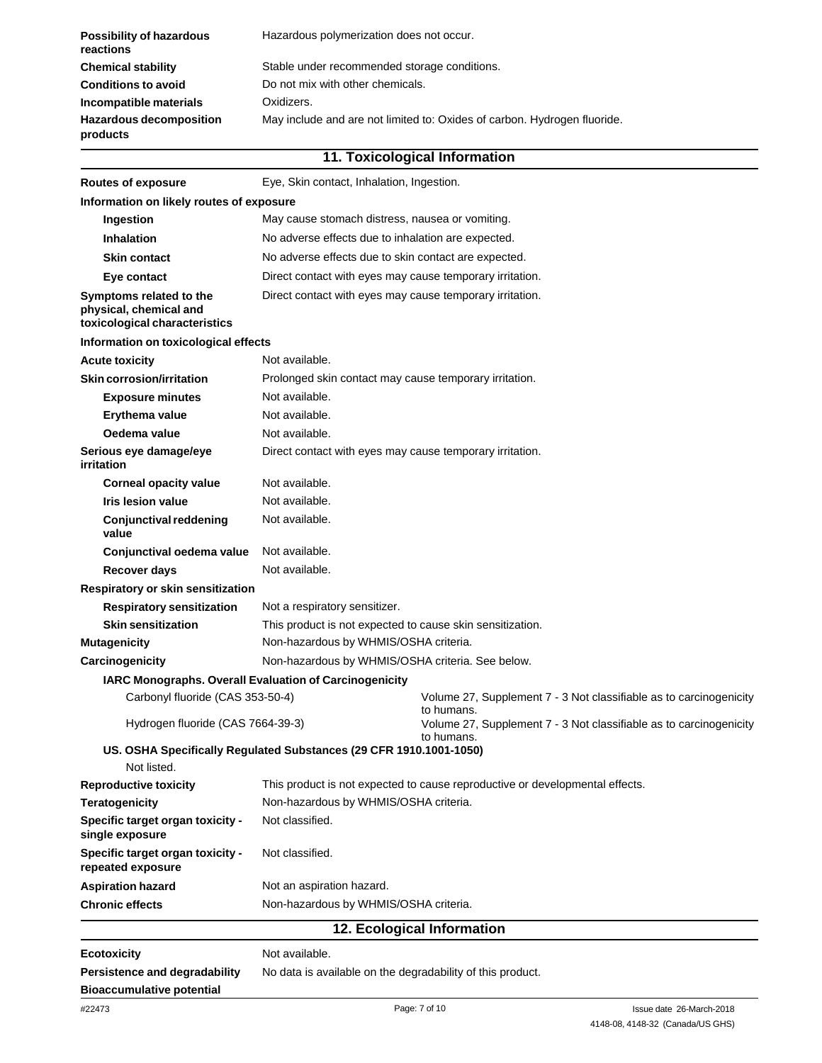| <b>Possibility of hazardous</b><br>reactions | Hazardous polymerization does not occur.                                 |  |  |
|----------------------------------------------|--------------------------------------------------------------------------|--|--|
| <b>Chemical stability</b>                    | Stable under recommended storage conditions.                             |  |  |
| <b>Conditions to avoid</b>                   | Do not mix with other chemicals.                                         |  |  |
| Incompatible materials                       | Oxidizers.                                                               |  |  |
| <b>Hazardous decomposition</b><br>products   | May include and are not limited to: Oxides of carbon. Hydrogen fluoride. |  |  |
| 11. Toxicological Information                |                                                                          |  |  |

| <b>Routes of exposure</b>                                                                               | Eye, Skin contact, Inhalation, Ingestion.                  |                                                                                  |  |  |
|---------------------------------------------------------------------------------------------------------|------------------------------------------------------------|----------------------------------------------------------------------------------|--|--|
| Information on likely routes of exposure                                                                |                                                            |                                                                                  |  |  |
| Ingestion                                                                                               | May cause stomach distress, nausea or vomiting.            |                                                                                  |  |  |
| Inhalation                                                                                              | No adverse effects due to inhalation are expected.         |                                                                                  |  |  |
| <b>Skin contact</b>                                                                                     | No adverse effects due to skin contact are expected.       |                                                                                  |  |  |
| Eye contact                                                                                             | Direct contact with eyes may cause temporary irritation.   |                                                                                  |  |  |
| Symptoms related to the<br>physical, chemical and<br>toxicological characteristics                      | Direct contact with eyes may cause temporary irritation.   |                                                                                  |  |  |
| Information on toxicological effects                                                                    |                                                            |                                                                                  |  |  |
| <b>Acute toxicity</b>                                                                                   | Not available.                                             |                                                                                  |  |  |
| <b>Skin corrosion/irritation</b>                                                                        | Prolonged skin contact may cause temporary irritation.     |                                                                                  |  |  |
| <b>Exposure minutes</b>                                                                                 | Not available.                                             |                                                                                  |  |  |
| Erythema value                                                                                          | Not available.                                             |                                                                                  |  |  |
| Oedema value                                                                                            | Not available.                                             |                                                                                  |  |  |
| Serious eye damage/eye<br>irritation                                                                    | Direct contact with eyes may cause temporary irritation.   |                                                                                  |  |  |
| <b>Corneal opacity value</b>                                                                            | Not available.                                             |                                                                                  |  |  |
| Iris lesion value                                                                                       | Not available.                                             |                                                                                  |  |  |
| <b>Conjunctival reddening</b><br>value                                                                  | Not available.                                             |                                                                                  |  |  |
| Conjunctival oedema value                                                                               | Not available.                                             |                                                                                  |  |  |
| <b>Recover days</b>                                                                                     | Not available.                                             |                                                                                  |  |  |
| Respiratory or skin sensitization                                                                       |                                                            |                                                                                  |  |  |
| <b>Respiratory sensitization</b>                                                                        | Not a respiratory sensitizer.                              |                                                                                  |  |  |
| <b>Skin sensitization</b>                                                                               | This product is not expected to cause skin sensitization.  |                                                                                  |  |  |
| <b>Mutagenicity</b>                                                                                     | Non-hazardous by WHMIS/OSHA criteria.                      |                                                                                  |  |  |
| Carcinogenicity                                                                                         | Non-hazardous by WHMIS/OSHA criteria. See below.           |                                                                                  |  |  |
|                                                                                                         | IARC Monographs. Overall Evaluation of Carcinogenicity     |                                                                                  |  |  |
| Carbonyl fluoride (CAS 353-50-4)                                                                        |                                                            | Volume 27, Supplement 7 - 3 Not classifiable as to carcinogenicity<br>to humans. |  |  |
| Hydrogen fluoride (CAS 7664-39-3)<br>US. OSHA Specifically Regulated Substances (29 CFR 1910.1001-1050) |                                                            | Volume 27, Supplement 7 - 3 Not classifiable as to carcinogenicity<br>to humans. |  |  |
| Not listed.                                                                                             |                                                            |                                                                                  |  |  |
| <b>Reproductive toxicity</b>                                                                            |                                                            | This product is not expected to cause reproductive or developmental effects.     |  |  |
| <b>Teratogenicity</b>                                                                                   | Non-hazardous by WHMIS/OSHA criteria.                      |                                                                                  |  |  |
| Specific target organ toxicity -<br>single exposure                                                     | Not classified.                                            |                                                                                  |  |  |
| Specific target organ toxicity -<br>repeated exposure                                                   | Not classified.                                            |                                                                                  |  |  |
| <b>Aspiration hazard</b>                                                                                | Not an aspiration hazard.                                  |                                                                                  |  |  |
| <b>Chronic effects</b>                                                                                  | Non-hazardous by WHMIS/OSHA criteria.                      |                                                                                  |  |  |
|                                                                                                         |                                                            | 12. Ecological Information                                                       |  |  |
| <b>Ecotoxicity</b>                                                                                      | Not available.                                             |                                                                                  |  |  |
| <b>Persistence and degradability</b>                                                                    | No data is available on the degradability of this product. |                                                                                  |  |  |
| <b>Bioaccumulative potential</b>                                                                        |                                                            |                                                                                  |  |  |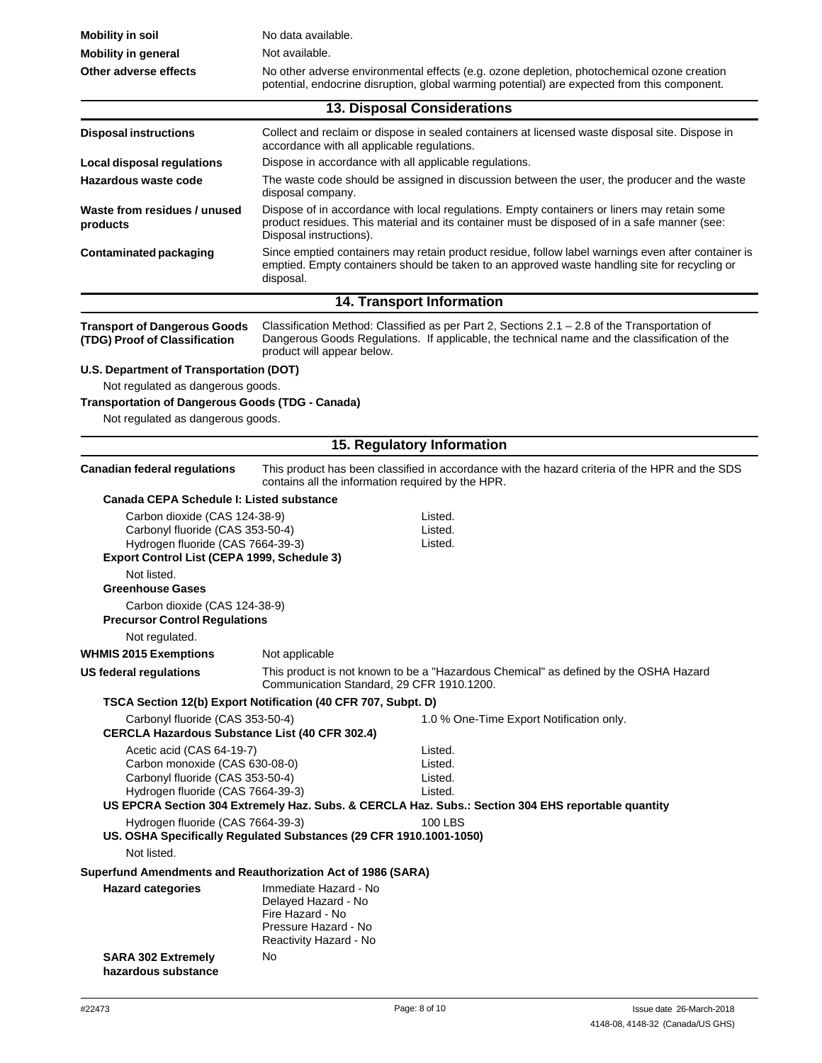| <b>Mobility in soil</b>                                                                                                                               | No data available.                                                                       |                                                                                                                                                                                                     |  |  |
|-------------------------------------------------------------------------------------------------------------------------------------------------------|------------------------------------------------------------------------------------------|-----------------------------------------------------------------------------------------------------------------------------------------------------------------------------------------------------|--|--|
| <b>Mobility in general</b>                                                                                                                            | Not available.                                                                           |                                                                                                                                                                                                     |  |  |
| Other adverse effects                                                                                                                                 |                                                                                          | No other adverse environmental effects (e.g. ozone depletion, photochemical ozone creation<br>potential, endocrine disruption, global warming potential) are expected from this component.          |  |  |
|                                                                                                                                                       | 13. Disposal Considerations                                                              |                                                                                                                                                                                                     |  |  |
| <b>Disposal instructions</b>                                                                                                                          | accordance with all applicable regulations.                                              | Collect and reclaim or dispose in sealed containers at licensed waste disposal site. Dispose in                                                                                                     |  |  |
| Local disposal regulations                                                                                                                            | Dispose in accordance with all applicable regulations.                                   |                                                                                                                                                                                                     |  |  |
| Hazardous waste code                                                                                                                                  | disposal company.                                                                        | The waste code should be assigned in discussion between the user, the producer and the waste                                                                                                        |  |  |
| Waste from residues / unused<br>products                                                                                                              | Disposal instructions).                                                                  | Dispose of in accordance with local regulations. Empty containers or liners may retain some<br>product residues. This material and its container must be disposed of in a safe manner (see:         |  |  |
| <b>Contaminated packaging</b>                                                                                                                         | disposal.                                                                                | Since emptied containers may retain product residue, follow label warnings even after container is<br>emptied. Empty containers should be taken to an approved waste handling site for recycling or |  |  |
|                                                                                                                                                       | 14. Transport Information                                                                |                                                                                                                                                                                                     |  |  |
| <b>Transport of Dangerous Goods</b><br>(TDG) Proof of Classification                                                                                  | product will appear below.                                                               | Classification Method: Classified as per Part 2, Sections $2.1 - 2.8$ of the Transportation of<br>Dangerous Goods Regulations. If applicable, the technical name and the classification of the      |  |  |
| U.S. Department of Transportation (DOT)                                                                                                               |                                                                                          |                                                                                                                                                                                                     |  |  |
| Not regulated as dangerous goods.                                                                                                                     |                                                                                          |                                                                                                                                                                                                     |  |  |
| <b>Transportation of Dangerous Goods (TDG - Canada)</b>                                                                                               |                                                                                          |                                                                                                                                                                                                     |  |  |
| Not regulated as dangerous goods.                                                                                                                     |                                                                                          |                                                                                                                                                                                                     |  |  |
|                                                                                                                                                       | 15. Regulatory Information                                                               |                                                                                                                                                                                                     |  |  |
| <b>Canadian federal regulations</b>                                                                                                                   | contains all the information required by the HPR.                                        | This product has been classified in accordance with the hazard criteria of the HPR and the SDS                                                                                                      |  |  |
| Canada CEPA Schedule I: Listed substance                                                                                                              |                                                                                          |                                                                                                                                                                                                     |  |  |
| Carbon dioxide (CAS 124-38-9)<br>Carbonyl fluoride (CAS 353-50-4)<br>Hydrogen fluoride (CAS 7664-39-3)<br>Export Control List (CEPA 1999, Schedule 3) |                                                                                          | Listed.<br>Listed.<br>Listed.                                                                                                                                                                       |  |  |
| Not listed.                                                                                                                                           |                                                                                          |                                                                                                                                                                                                     |  |  |
| <b>Greenhouse Gases</b>                                                                                                                               |                                                                                          |                                                                                                                                                                                                     |  |  |
| Carbon dioxide (CAS 124-38-9)<br><b>Precursor Control Regulations</b>                                                                                 |                                                                                          |                                                                                                                                                                                                     |  |  |
| Not regulated.                                                                                                                                        |                                                                                          |                                                                                                                                                                                                     |  |  |
| <b>WHMIS 2015 Exemptions</b>                                                                                                                          | Not applicable                                                                           |                                                                                                                                                                                                     |  |  |
| <b>US federal requlations</b>                                                                                                                         | Communication Standard, 29 CFR 1910.1200.                                                | This product is not known to be a "Hazardous Chemical" as defined by the OSHA Hazard                                                                                                                |  |  |
|                                                                                                                                                       | TSCA Section 12(b) Export Notification (40 CFR 707, Subpt. D)                            |                                                                                                                                                                                                     |  |  |
| Carbonyl fluoride (CAS 353-50-4)<br><b>CERCLA Hazardous Substance List (40 CFR 302.4)</b>                                                             |                                                                                          | 1.0 % One-Time Export Notification only.                                                                                                                                                            |  |  |
| Acetic acid (CAS 64-19-7)<br>Carbon monoxide (CAS 630-08-0)<br>Carbonyl fluoride (CAS 353-50-4)<br>Hydrogen fluoride (CAS 7664-39-3)                  |                                                                                          | Listed.<br>Listed.<br>Listed.<br>Listed.<br>US EPCRA Section 304 Extremely Haz. Subs. & CERCLA Haz. Subs.: Section 304 EHS reportable quantity                                                      |  |  |
| Hydrogen fluoride (CAS 7664-39-3)                                                                                                                     | US. OSHA Specifically Regulated Substances (29 CFR 1910.1001-1050)                       | <b>100 LBS</b>                                                                                                                                                                                      |  |  |
| Not listed.                                                                                                                                           |                                                                                          |                                                                                                                                                                                                     |  |  |
| Superfund Amendments and Reauthorization Act of 1986 (SARA)                                                                                           |                                                                                          |                                                                                                                                                                                                     |  |  |
| <b>Hazard categories</b>                                                                                                                              | Immediate Hazard - No<br>Delayed Hazard - No<br>Fire Hazard - No<br>Pressure Hazard - No |                                                                                                                                                                                                     |  |  |
| <b>SARA 302 Extremely</b><br>hazardous substance                                                                                                      | Reactivity Hazard - No<br>No                                                             |                                                                                                                                                                                                     |  |  |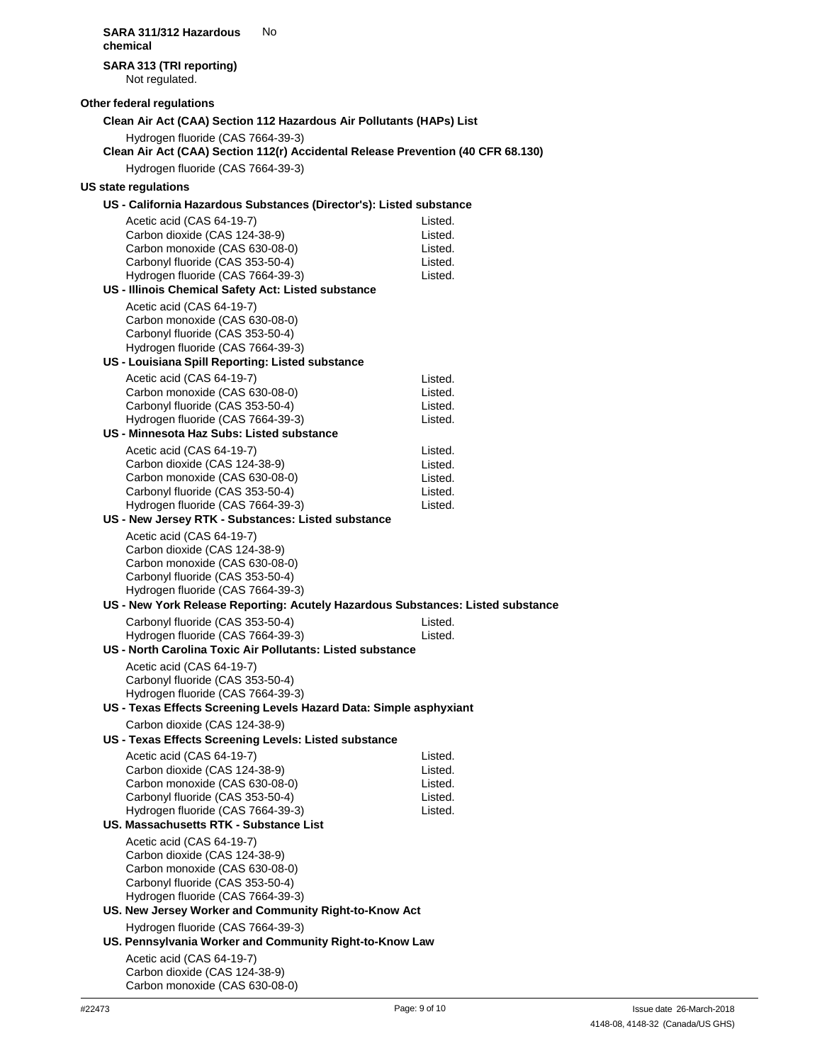**SARA 311/312 Hazardous** No **chemical SARA 313 (TRI reporting)** Not regulated. **Other federal regulations Clean Air Act (CAA) Section 112 Hazardous Air Pollutants (HAPs) List** Hydrogen fluoride (CAS 7664-39-3) **Clean Air Act (CAA) Section 112(r) Accidental Release Prevention (40 CFR 68.130)** Hydrogen fluoride (CAS 7664-39-3) **US state regulations US - California Hazardous Substances (Director's): Listed substance** Acetic acid (CAS 64-19-7) Carbon dioxide (CAS 124-38-9) Carbon monoxide (CAS 630-08-0) Carbonyl fluoride (CAS 353-50-4) Hydrogen fluoride (CAS 7664-39-3) **US - Illinois Chemical Safety Act: Listed substance** Acetic acid (CAS 64-19-7) Carbon monoxide (CAS 630-08-0) Carbonyl fluoride (CAS 353-50-4) Hydrogen fluoride (CAS 7664-39-3) **US - Louisiana Spill Reporting: Listed substance** Acetic acid (CAS 64-19-7) Carbon monoxide (CAS 630-08-0) Carbonyl fluoride (CAS 353-50-4) Hydrogen fluoride (CAS 7664-39-3) **US - Minnesota Haz Subs: Listed substance** Acetic acid (CAS 64-19-7) Carbon dioxide (CAS 124-38-9) Carbon monoxide (CAS 630-08-0) Carbonyl fluoride (CAS 353-50-4) Hydrogen fluoride (CAS 7664-39-3) **US - New Jersey RTK - Substances: Listed substance** Acetic acid (CAS 64-19-7) Carbon dioxide (CAS 124-38-9) Carbon monoxide (CAS 630-08-0) Carbonyl fluoride (CAS 353-50-4) Hydrogen fluoride (CAS 7664-39-3) Listed. Listed. Listed. Listed. Listed. Listed. Listed. Listed. Listed. Listed. Listed. Listed. Listed. Listed. **US - New York Release Reporting: Acutely Hazardous Substances: Listed substance** Carbonyl fluoride (CAS 353-50-4) Hydrogen fluoride (CAS 7664-39-3) **US - North Carolina Toxic Air Pollutants: Listed substance** Acetic acid (CAS 64-19-7) Carbonyl fluoride (CAS 353-50-4) Hydrogen fluoride (CAS 7664-39-3) Listed. Listed. **US - Texas Effects Screening Levels Hazard Data: Simple asphyxiant** Carbon dioxide (CAS 124-38-9) **US - Texas Effects Screening Levels: Listed substance** Acetic acid (CAS 64-19-7) Carbon dioxide (CAS 124-38-9) Carbon monoxide (CAS 630-08-0) Carbonyl fluoride (CAS 353-50-4) Hydrogen fluoride (CAS 7664-39-3) **US. Massachusetts RTK - Substance List** Acetic acid (CAS 64-19-7) Carbon dioxide (CAS 124-38-9) Carbon monoxide (CAS 630-08-0) Carbonyl fluoride (CAS 353-50-4) Hydrogen fluoride (CAS 7664-39-3) Listed. Listed. Listed. Listed. Listed. **US. New Jersey Worker and Community Right-to-Know Act** Hydrogen fluoride (CAS 7664-39-3) **US. Pennsylvania Worker and Community Right-to-Know Law** Acetic acid (CAS 64-19-7)

Carbon dioxide (CAS 124-38-9) Carbon monoxide (CAS 630-08-0)